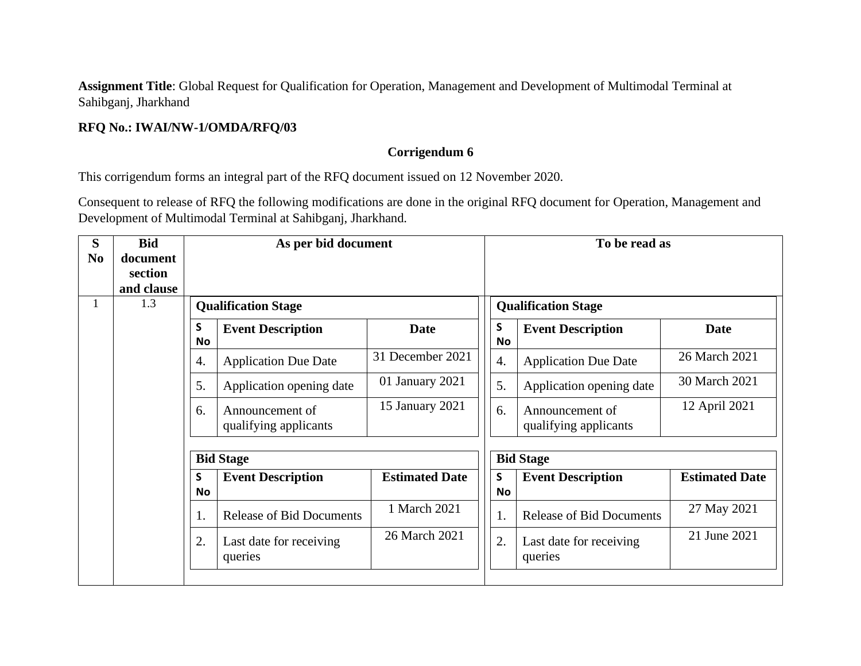**Assignment Title**: Global Request for Qualification for Operation, Management and Development of Multimodal Terminal at Sahibganj, Jharkhand

## **RFQ No.: IWAI/NW-1/OMDA/RFQ/03**

## **Corrigendum 6**

This corrigendum forms an integral part of the RFQ document issued on 12 November 2020.

Consequent to release of RFQ the following modifications are done in the original RFQ document for Operation, Management and Development of Multimodal Terminal at Sahibganj, Jharkhand.

| S<br>N <sub>0</sub> | <b>Bid</b><br>document<br>section<br>and clause | As per bid document<br>1.3<br><b>Qualification Stage</b> |                                          |                       |  | To be read as  |                                          |                       |  |
|---------------------|-------------------------------------------------|----------------------------------------------------------|------------------------------------------|-----------------------|--|----------------|------------------------------------------|-----------------------|--|
| 1                   |                                                 |                                                          |                                          |                       |  |                | <b>Qualification Stage</b>               |                       |  |
|                     |                                                 | $\mathsf{s}$<br><b>No</b>                                | <b>Event Description</b>                 | <b>Date</b>           |  | S<br><b>No</b> | <b>Event Description</b>                 | Date                  |  |
|                     |                                                 | 4.                                                       | <b>Application Due Date</b>              | 31 December 2021      |  | 4.             | <b>Application Due Date</b>              | 26 March 2021         |  |
|                     |                                                 | 5.                                                       | Application opening date                 | 01 January 2021       |  | 5.             | Application opening date                 | 30 March 2021         |  |
|                     |                                                 | 6.                                                       | Announcement of<br>qualifying applicants | 15 January 2021       |  | 6.             | Announcement of<br>qualifying applicants | 12 April 2021         |  |
|                     |                                                 | <b>Bid Stage</b>                                         |                                          |                       |  |                | <b>Bid Stage</b>                         |                       |  |
|                     |                                                 | S<br><b>No</b>                                           | <b>Event Description</b>                 | <b>Estimated Date</b> |  | S<br><b>No</b> | <b>Event Description</b>                 | <b>Estimated Date</b> |  |
|                     |                                                 | 1.                                                       | <b>Release of Bid Documents</b>          | 1 March 2021          |  | 1.             | <b>Release of Bid Documents</b>          | 27 May 2021           |  |
|                     |                                                 | 2.                                                       | Last date for receiving<br>queries       | 26 March 2021         |  | 2.             | Last date for receiving<br>queries       | 21 June 2021          |  |
|                     |                                                 |                                                          |                                          |                       |  |                |                                          |                       |  |